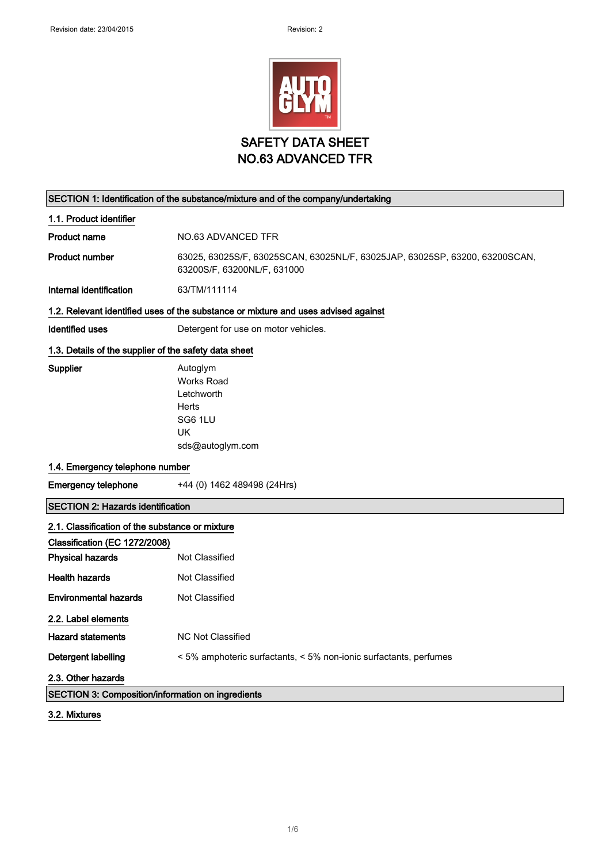

# SECTION 1: Identification of the substance/mixture and of the company/undertaking 1.1. Product identifier Product name NO.63 ADVANCED TFR

Product number 63025, 63025S/F, 63025SCAN, 63025NL/F, 63025JAP, 63025SP, 63200, 63200SCAN, 63200S/F, 63200NL/F, 631000

Internal identification 63/TM/111114

#### 1.2. Relevant identified uses of the substance or mixture and uses advised against

Identified uses **Detergent for use on motor vehicles**.

### 1.3. Details of the supplier of the safety data sheet

Supplier **Autoglym** Works Road Letchworth **Herts** SG6 1LU UK sds@autoglym.com

### 1.4. Emergency telephone number

Emergency telephone +44 (0) 1462 489498 (24Hrs)

### SECTION 2: Hazards identification

| 2.1. Classification of the substance or mixture          |                                                                   |
|----------------------------------------------------------|-------------------------------------------------------------------|
| Classification (EC 1272/2008)                            |                                                                   |
| <b>Physical hazards</b>                                  | Not Classified                                                    |
| <b>Health hazards</b>                                    | Not Classified                                                    |
| <b>Environmental hazards</b>                             | Not Classified                                                    |
| 2.2. Label elements                                      |                                                                   |
| <b>Hazard statements</b>                                 | NC Not Classified                                                 |
| Detergent labelling                                      | < 5% amphoteric surfactants, < 5% non-ionic surfactants, perfumes |
| 2.3. Other hazards                                       |                                                                   |
| <b>SECTION 3: Composition/information on ingredients</b> |                                                                   |

3.2. Mixtures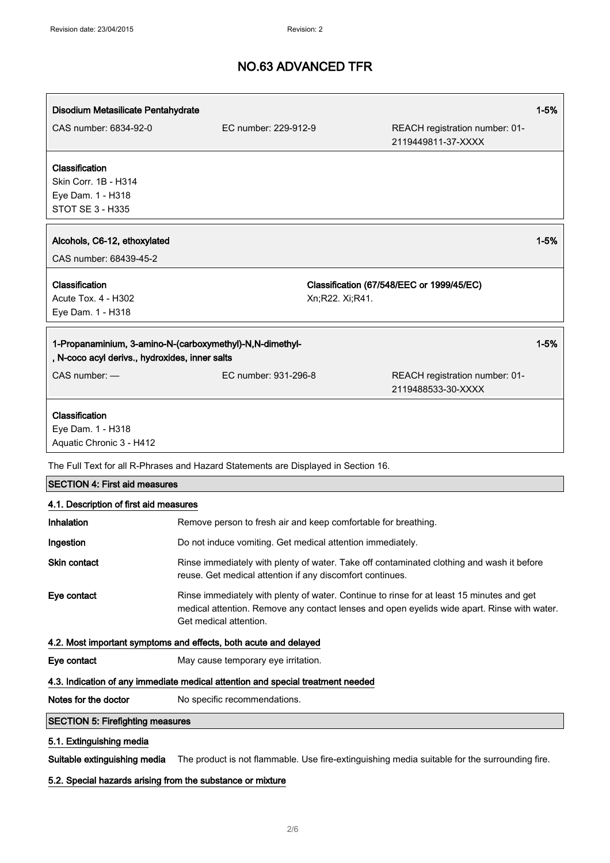| Disodium Metasilicate Pentahydrate             |                                                                                                                                                                                                                    |                                                      | $1 - 5%$ |
|------------------------------------------------|--------------------------------------------------------------------------------------------------------------------------------------------------------------------------------------------------------------------|------------------------------------------------------|----------|
| CAS number: 6834-92-0                          | EC number: 229-912-9                                                                                                                                                                                               | REACH registration number: 01-<br>2119449811-37-XXXX |          |
| Classification                                 |                                                                                                                                                                                                                    |                                                      |          |
| Skin Corr. 1B - H314                           |                                                                                                                                                                                                                    |                                                      |          |
| Eye Dam. 1 - H318                              |                                                                                                                                                                                                                    |                                                      |          |
| <b>STOT SE 3 - H335</b>                        |                                                                                                                                                                                                                    |                                                      |          |
| Alcohols, C6-12, ethoxylated                   |                                                                                                                                                                                                                    |                                                      | $1 - 5%$ |
| CAS number: 68439-45-2                         |                                                                                                                                                                                                                    |                                                      |          |
| Classification                                 |                                                                                                                                                                                                                    | Classification (67/548/EEC or 1999/45/EC)            |          |
| Acute Tox. 4 - H302                            | Xn;R22. Xi;R41.                                                                                                                                                                                                    |                                                      |          |
| Eye Dam. 1 - H318                              |                                                                                                                                                                                                                    |                                                      |          |
|                                                | 1-Propanaminium, 3-amino-N-(carboxymethyl)-N,N-dimethyl-                                                                                                                                                           |                                                      | $1 - 5%$ |
| , N-coco acyl derivs., hydroxides, inner salts |                                                                                                                                                                                                                    |                                                      |          |
| CAS number: -                                  | EC number: 931-296-8                                                                                                                                                                                               | REACH registration number: 01-<br>2119488533-30-XXXX |          |
| Classification                                 |                                                                                                                                                                                                                    |                                                      |          |
| Eye Dam. 1 - H318                              |                                                                                                                                                                                                                    |                                                      |          |
| Aquatic Chronic 3 - H412                       |                                                                                                                                                                                                                    |                                                      |          |
|                                                | The Full Text for all R-Phrases and Hazard Statements are Displayed in Section 16.                                                                                                                                 |                                                      |          |
| <b>SECTION 4: First aid measures</b>           |                                                                                                                                                                                                                    |                                                      |          |
| 4.1. Description of first aid measures         |                                                                                                                                                                                                                    |                                                      |          |
| Inhalation                                     | Remove person to fresh air and keep comfortable for breathing.                                                                                                                                                     |                                                      |          |
| Ingestion                                      | Do not induce vomiting. Get medical attention immediately.                                                                                                                                                         |                                                      |          |
| Skin contact                                   | Rinse immediately with plenty of water. Take off contaminated clothing and wash it before<br>reuse. Get medical attention if any discomfort continues.                                                             |                                                      |          |
| Eye contact                                    | Rinse immediately with plenty of water. Continue to rinse for at least 15 minutes and get<br>medical attention. Remove any contact lenses and open eyelids wide apart. Rinse with water.<br>Get medical attention. |                                                      |          |
|                                                | 4.2. Most important symptoms and effects, both acute and delayed                                                                                                                                                   |                                                      |          |
| Eye contact                                    | May cause temporary eye irritation.                                                                                                                                                                                |                                                      |          |
|                                                | 4.3. Indication of any immediate medical attention and special treatment needed                                                                                                                                    |                                                      |          |
| Notes for the doctor                           | No specific recommendations.                                                                                                                                                                                       |                                                      |          |
| <b>SECTION 5: Firefighting measures</b>        |                                                                                                                                                                                                                    |                                                      |          |
| 5.1. Extinguishing media                       |                                                                                                                                                                                                                    |                                                      |          |
| Suitable extinguishing media                   | The product is not flammable. Use fire-extinguishing media suitable for the surrounding fire.                                                                                                                      |                                                      |          |

## 5.2. Special hazards arising from the substance or mixture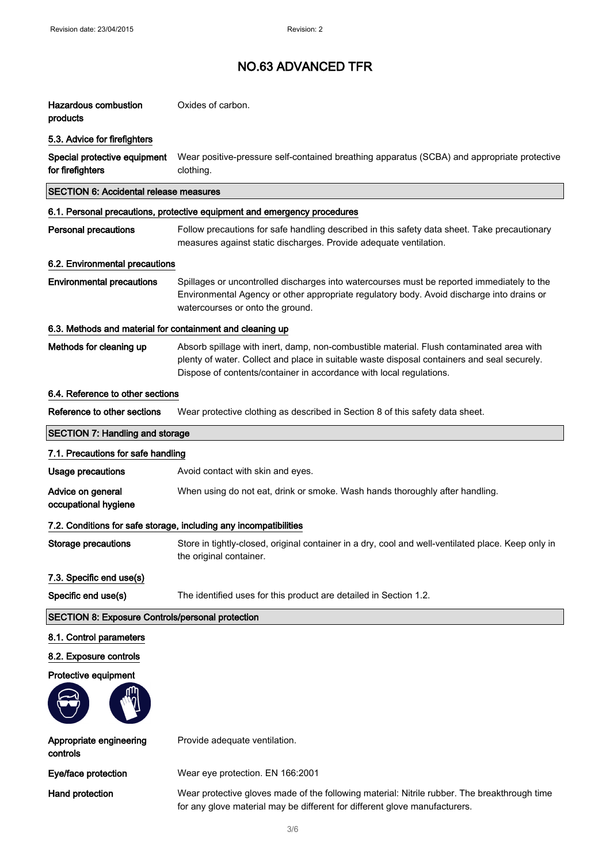| <b>Hazardous combustion</b><br>products                   | Oxides of carbon.                                                                                                                                                                                                                                              |
|-----------------------------------------------------------|----------------------------------------------------------------------------------------------------------------------------------------------------------------------------------------------------------------------------------------------------------------|
| 5.3. Advice for firefighters                              |                                                                                                                                                                                                                                                                |
| Special protective equipment<br>for firefighters          | Wear positive-pressure self-contained breathing apparatus (SCBA) and appropriate protective<br>clothing.                                                                                                                                                       |
| <b>SECTION 6: Accidental release measures</b>             |                                                                                                                                                                                                                                                                |
|                                                           | 6.1. Personal precautions, protective equipment and emergency procedures                                                                                                                                                                                       |
| <b>Personal precautions</b>                               | Follow precautions for safe handling described in this safety data sheet. Take precautionary<br>measures against static discharges. Provide adequate ventilation.                                                                                              |
| 6.2. Environmental precautions                            |                                                                                                                                                                                                                                                                |
| <b>Environmental precautions</b>                          | Spillages or uncontrolled discharges into watercourses must be reported immediately to the<br>Environmental Agency or other appropriate regulatory body. Avoid discharge into drains or<br>watercourses or onto the ground.                                    |
| 6.3. Methods and material for containment and cleaning up |                                                                                                                                                                                                                                                                |
| Methods for cleaning up                                   | Absorb spillage with inert, damp, non-combustible material. Flush contaminated area with<br>plenty of water. Collect and place in suitable waste disposal containers and seal securely.<br>Dispose of contents/container in accordance with local regulations. |
| 6.4. Reference to other sections                          |                                                                                                                                                                                                                                                                |
| Reference to other sections                               | Wear protective clothing as described in Section 8 of this safety data sheet.                                                                                                                                                                                  |
| <b>SECTION 7: Handling and storage</b>                    |                                                                                                                                                                                                                                                                |
| 7.1. Precautions for safe handling                        |                                                                                                                                                                                                                                                                |
| Usage precautions                                         | Avoid contact with skin and eyes.                                                                                                                                                                                                                              |
| Advice on general<br>occupational hygiene                 | When using do not eat, drink or smoke. Wash hands thoroughly after handling.                                                                                                                                                                                   |
|                                                           | 7.2. Conditions for safe storage, including any incompatibilities                                                                                                                                                                                              |
| Storage precautions                                       | Store in tightly-closed, original container in a dry, cool and well-ventilated place. Keep only in<br>the original container.                                                                                                                                  |
| 7.3. Specific end use(s)                                  |                                                                                                                                                                                                                                                                |
| Specific end use(s)                                       | The identified uses for this product are detailed in Section 1.2.                                                                                                                                                                                              |
| <b>SECTION 8: Exposure Controls/personal protection</b>   |                                                                                                                                                                                                                                                                |
| 8.1. Control parameters                                   |                                                                                                                                                                                                                                                                |
| 8.2. Exposure controls                                    |                                                                                                                                                                                                                                                                |
| Protective equipment                                      |                                                                                                                                                                                                                                                                |
|                                                           |                                                                                                                                                                                                                                                                |
| Appropriate engineering<br>controls                       | Provide adequate ventilation.                                                                                                                                                                                                                                  |
| Eye/face protection                                       | Wear eye protection. EN 166:2001                                                                                                                                                                                                                               |
| Hand protection                                           | Wear protective gloves made of the following material: Nitrile rubber. The breakthrough time<br>for any glove material may be different for different glove manufacturers.                                                                                     |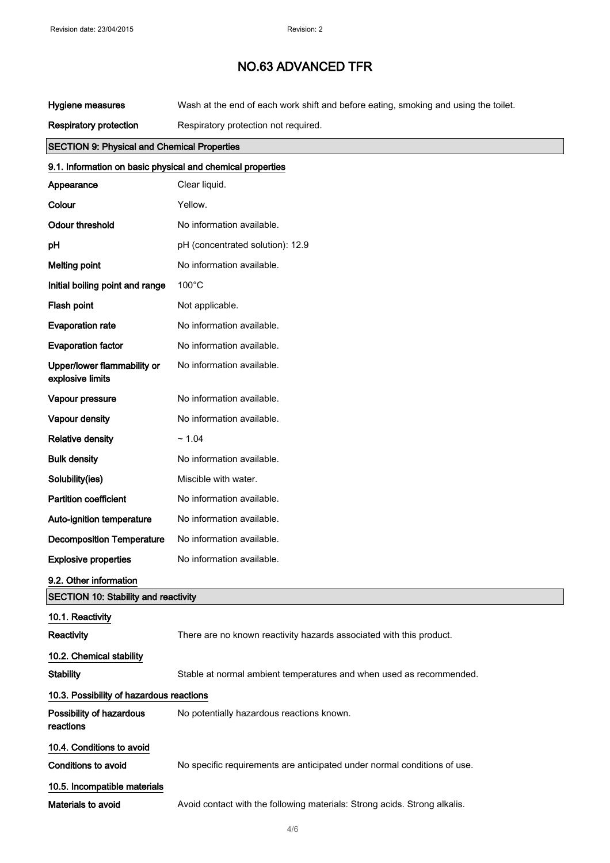| Hygiene measures                                           | Wash at the end of each work shift and before eating, smoking and using the toilet. |
|------------------------------------------------------------|-------------------------------------------------------------------------------------|
| <b>Respiratory protection</b>                              | Respiratory protection not required.                                                |
| <b>SECTION 9: Physical and Chemical Properties</b>         |                                                                                     |
| 9.1. Information on basic physical and chemical properties |                                                                                     |
| Appearance                                                 | Clear liquid.                                                                       |
| Colour                                                     | Yellow.                                                                             |
| <b>Odour threshold</b>                                     | No information available.                                                           |
| pH                                                         | pH (concentrated solution): 12.9                                                    |
| <b>Melting point</b>                                       | No information available.                                                           |
| Initial boiling point and range                            | $100^{\circ}$ C                                                                     |
| Flash point                                                | Not applicable.                                                                     |
| <b>Evaporation rate</b>                                    | No information available.                                                           |
| <b>Evaporation factor</b>                                  | No information available.                                                           |
| Upper/lower flammability or<br>explosive limits            | No information available.                                                           |
| Vapour pressure                                            | No information available.                                                           |
| Vapour density                                             | No information available.                                                           |
| <b>Relative density</b>                                    | ~1.04                                                                               |
| <b>Bulk density</b>                                        | No information available.                                                           |
| Solubility(ies)                                            | Miscible with water.                                                                |
| <b>Partition coefficient</b>                               | No information available.                                                           |
| Auto-ignition temperature                                  | No information available.                                                           |
| <b>Decomposition Temperature</b>                           | No information available.                                                           |
| <b>Explosive properties</b>                                | No information available.                                                           |
| 9.2. Other information                                     |                                                                                     |
| <b>SECTION 10: Stability and reactivity</b>                |                                                                                     |
| 10.1. Reactivity                                           |                                                                                     |
| Reactivity                                                 | There are no known reactivity hazards associated with this product.                 |
| 10.2. Chemical stability                                   |                                                                                     |
| <b>Stability</b>                                           | Stable at normal ambient temperatures and when used as recommended.                 |
| 10.3. Possibility of hazardous reactions                   |                                                                                     |
| Possibility of hazardous<br>reactions                      | No potentially hazardous reactions known.                                           |
| 10.4. Conditions to avoid                                  |                                                                                     |
| Conditions to avoid                                        | No specific requirements are anticipated under normal conditions of use.            |
| 10.5. Incompatible materials                               |                                                                                     |
| Materials to avoid                                         | Avoid contact with the following materials: Strong acids. Strong alkalis.           |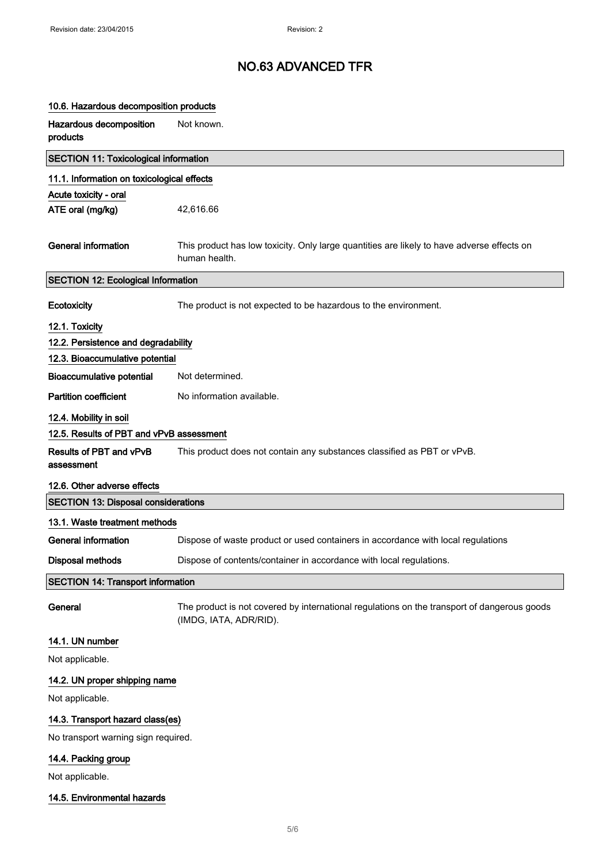## 10.6. Hazardous decomposition products

| Hazardous decomposition<br>products          | Not known.                                                                                                            |
|----------------------------------------------|-----------------------------------------------------------------------------------------------------------------------|
| <b>SECTION 11: Toxicological information</b> |                                                                                                                       |
| 11.1. Information on toxicological effects   |                                                                                                                       |
| Acute toxicity - oral                        |                                                                                                                       |
| ATE oral (mg/kg)                             | 42,616.66                                                                                                             |
| <b>General information</b>                   | This product has low toxicity. Only large quantities are likely to have adverse effects on<br>human health.           |
| <b>SECTION 12: Ecological Information</b>    |                                                                                                                       |
| Ecotoxicity                                  | The product is not expected to be hazardous to the environment.                                                       |
| 12.1. Toxicity                               |                                                                                                                       |
| 12.2. Persistence and degradability          |                                                                                                                       |
| 12.3. Bioaccumulative potential              |                                                                                                                       |
| <b>Bioaccumulative potential</b>             | Not determined.                                                                                                       |
| <b>Partition coefficient</b>                 | No information available.                                                                                             |
| 12.4. Mobility in soil                       |                                                                                                                       |
| 12.5. Results of PBT and vPvB assessment     |                                                                                                                       |
| Results of PBT and vPvB<br>assessment        | This product does not contain any substances classified as PBT or vPvB.                                               |
| 12.6. Other adverse effects                  |                                                                                                                       |
| <b>SECTION 13: Disposal considerations</b>   |                                                                                                                       |
| 13.1. Waste treatment methods                |                                                                                                                       |
| <b>General information</b>                   | Dispose of waste product or used containers in accordance with local regulations                                      |
| <b>Disposal methods</b>                      | Dispose of contents/container in accordance with local regulations.                                                   |
| <b>SECTION 14: Transport information</b>     |                                                                                                                       |
| General                                      | The product is not covered by international regulations on the transport of dangerous goods<br>(IMDG, IATA, ADR/RID). |
| 14.1. UN number                              |                                                                                                                       |
| Not applicable.                              |                                                                                                                       |
| 14.2. UN proper shipping name                |                                                                                                                       |
| Not applicable.                              |                                                                                                                       |
| 14.3. Transport hazard class(es)             |                                                                                                                       |

No transport warning sign required.

## 14.4. Packing group

Not applicable.

### 14.5. Environmental hazards